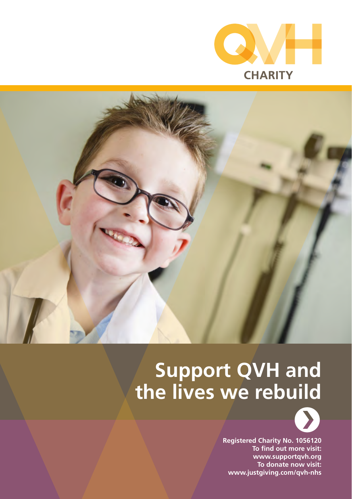



# **Support QVH and the lives we rebuild**



**Registered Charity No. 1056120 To find out more visit: www.supportqvh.org To donate now visit: www.justgiving.com/qvh-nhs**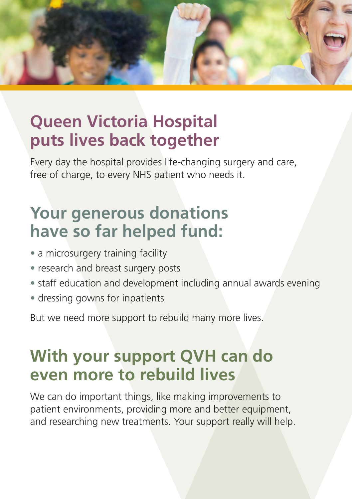

## **Queen Victoria Hospital puts lives back together**

Every day the hospital provides life-changing surgery and care, free of charge, to every NHS patient who needs it.

## **Your generous donations have so far helped fund:**

- a microsurgery training facility
- research and breast surgery posts
- staff education and development including annual awards evening
- dressing gowns for inpatients

But we need more support to rebuild many more lives.

## **With your support QVH can do even more to rebuild lives**

We can do important things, like making improvements to patient environments, providing more and better equipment, and researching new treatments. Your support really will help.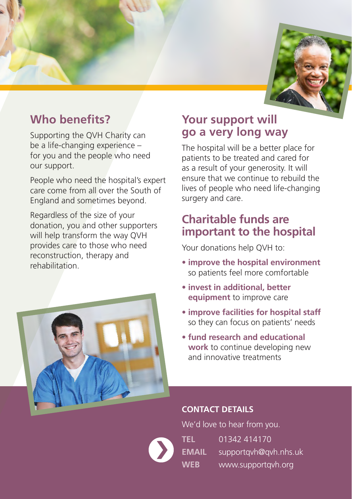

## **Who benefits?**

Supporting the QVH Charity can be a life-changing experience – for you and the people who need our support.

People who need the hospital's expert care come from all over the South of England and sometimes beyond.

Regardless of the size of your donation, you and other supporters will help transform the way QVH provides care to those who need reconstruction, therapy and rehabilitation.



## **Your support will go a very long way**

The hospital will be a better place for patients to be treated and cared for as a result of your generosity. It will ensure that we continue to rebuild the lives of people who need life-changing surgery and care.

## **Charitable funds are important to the hospital**

Your donations help QVH to:

- **improve the hospital environment** so patients feel more comfortable
- **invest in additional, better equipment** to improve care
- **improve facilities for hospital staff** so they can focus on patients' needs
- **fund research and educational work** to continue developing new and innovative treatments

### **CONTACT DETAILS**

We'd love to hear from you. **TEL** 01342 414170 **EMAIL** [supportqvh@qvh.nhs.uk](mailto:supportqvh@qvh.nhs.uk) **WEB** [www.supportqvh.org](http://www.supportqvh.org/)